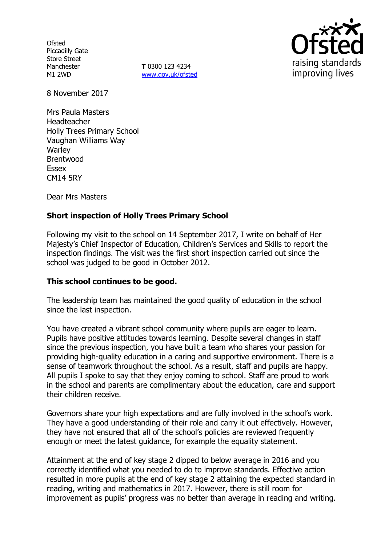**Ofsted** Piccadilly Gate Store Street Manchester M1 2WD

**T** 0300 123 4234 www.gov.uk/ofsted



8 November 2017

Mrs Paula Masters Headteacher Holly Trees Primary School Vaughan Williams Way **Warley** Brentwood Essex CM14 5RY

Dear Mrs Masters

# **Short inspection of Holly Trees Primary School**

Following my visit to the school on 14 September 2017, I write on behalf of Her Majesty's Chief Inspector of Education, Children's Services and Skills to report the inspection findings. The visit was the first short inspection carried out since the school was judged to be good in October 2012.

### **This school continues to be good.**

The leadership team has maintained the good quality of education in the school since the last inspection.

You have created a vibrant school community where pupils are eager to learn. Pupils have positive attitudes towards learning. Despite several changes in staff since the previous inspection, you have built a team who shares your passion for providing high-quality education in a caring and supportive environment. There is a sense of teamwork throughout the school. As a result, staff and pupils are happy. All pupils I spoke to say that they enjoy coming to school. Staff are proud to work in the school and parents are complimentary about the education, care and support their children receive.

Governors share your high expectations and are fully involved in the school's work. They have a good understanding of their role and carry it out effectively. However, they have not ensured that all of the school's policies are reviewed frequently enough or meet the latest guidance, for example the equality statement.

Attainment at the end of key stage 2 dipped to below average in 2016 and you correctly identified what you needed to do to improve standards. Effective action resulted in more pupils at the end of key stage 2 attaining the expected standard in reading, writing and mathematics in 2017. However, there is still room for improvement as pupils' progress was no better than average in reading and writing.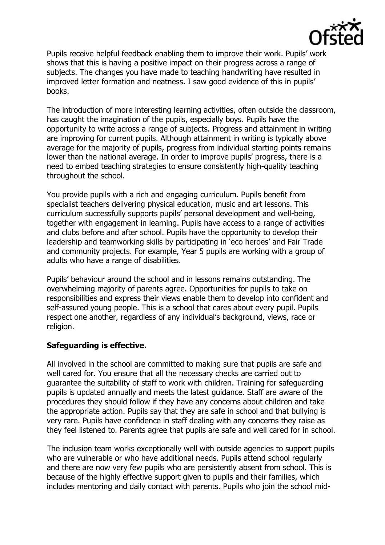

Pupils receive helpful feedback enabling them to improve their work. Pupils' work shows that this is having a positive impact on their progress across a range of subjects. The changes you have made to teaching handwriting have resulted in improved letter formation and neatness. I saw good evidence of this in pupils' books.

The introduction of more interesting learning activities, often outside the classroom, has caught the imagination of the pupils, especially boys. Pupils have the opportunity to write across a range of subjects. Progress and attainment in writing are improving for current pupils. Although attainment in writing is typically above average for the majority of pupils, progress from individual starting points remains lower than the national average. In order to improve pupils' progress, there is a need to embed teaching strategies to ensure consistently high-quality teaching throughout the school.

You provide pupils with a rich and engaging curriculum. Pupils benefit from specialist teachers delivering physical education, music and art lessons. This curriculum successfully supports pupils' personal development and well-being, together with engagement in learning. Pupils have access to a range of activities and clubs before and after school. Pupils have the opportunity to develop their leadership and teamworking skills by participating in 'eco heroes' and Fair Trade and community projects. For example, Year 5 pupils are working with a group of adults who have a range of disabilities.

Pupils' behaviour around the school and in lessons remains outstanding. The overwhelming majority of parents agree. Opportunities for pupils to take on responsibilities and express their views enable them to develop into confident and self-assured young people. This is a school that cares about every pupil. Pupils respect one another, regardless of any individual's background, views, race or religion.

# **Safeguarding is effective.**

All involved in the school are committed to making sure that pupils are safe and well cared for. You ensure that all the necessary checks are carried out to guarantee the suitability of staff to work with children. Training for safeguarding pupils is updated annually and meets the latest guidance. Staff are aware of the procedures they should follow if they have any concerns about children and take the appropriate action. Pupils say that they are safe in school and that bullying is very rare. Pupils have confidence in staff dealing with any concerns they raise as they feel listened to. Parents agree that pupils are safe and well cared for in school.

The inclusion team works exceptionally well with outside agencies to support pupils who are vulnerable or who have additional needs. Pupils attend school regularly and there are now very few pupils who are persistently absent from school. This is because of the highly effective support given to pupils and their families, which includes mentoring and daily contact with parents. Pupils who join the school mid-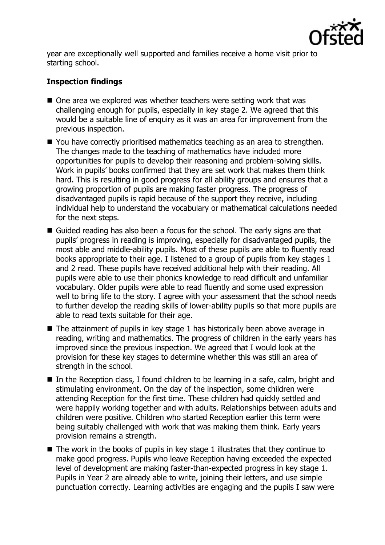

year are exceptionally well supported and families receive a home visit prior to starting school.

# **Inspection findings**

- One area we explored was whether teachers were setting work that was challenging enough for pupils, especially in key stage 2. We agreed that this would be a suitable line of enquiry as it was an area for improvement from the previous inspection.
- You have correctly prioritised mathematics teaching as an area to strengthen. The changes made to the teaching of mathematics have included more opportunities for pupils to develop their reasoning and problem-solving skills. Work in pupils' books confirmed that they are set work that makes them think hard. This is resulting in good progress for all ability groups and ensures that a growing proportion of pupils are making faster progress. The progress of disadvantaged pupils is rapid because of the support they receive, including individual help to understand the vocabulary or mathematical calculations needed for the next steps.
- Guided reading has also been a focus for the school. The early signs are that pupils' progress in reading is improving, especially for disadvantaged pupils, the most able and middle-ability pupils. Most of these pupils are able to fluently read books appropriate to their age. I listened to a group of pupils from key stages 1 and 2 read. These pupils have received additional help with their reading. All pupils were able to use their phonics knowledge to read difficult and unfamiliar vocabulary. Older pupils were able to read fluently and some used expression well to bring life to the story. I agree with your assessment that the school needs to further develop the reading skills of lower-ability pupils so that more pupils are able to read texts suitable for their age.
- $\blacksquare$  The attainment of pupils in key stage 1 has historically been above average in reading, writing and mathematics. The progress of children in the early years has improved since the previous inspection. We agreed that I would look at the provision for these key stages to determine whether this was still an area of strength in the school.
- $\blacksquare$  In the Reception class, I found children to be learning in a safe, calm, bright and stimulating environment. On the day of the inspection, some children were attending Reception for the first time. These children had quickly settled and were happily working together and with adults. Relationships between adults and children were positive. Children who started Reception earlier this term were being suitably challenged with work that was making them think. Early years provision remains a strength.
- $\blacksquare$  The work in the books of pupils in key stage 1 illustrates that they continue to make good progress. Pupils who leave Reception having exceeded the expected level of development are making faster-than-expected progress in key stage 1. Pupils in Year 2 are already able to write, joining their letters, and use simple punctuation correctly. Learning activities are engaging and the pupils I saw were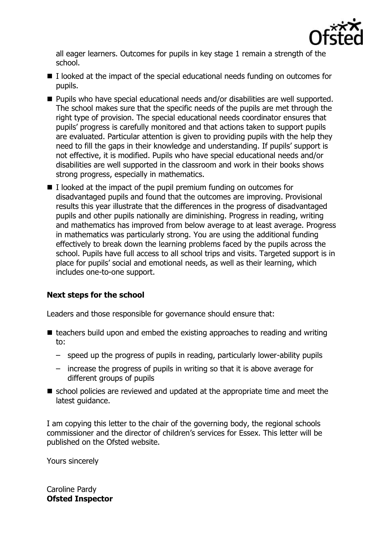

all eager learners. Outcomes for pupils in key stage 1 remain a strength of the school.

- I looked at the impact of the special educational needs funding on outcomes for pupils.
- Pupils who have special educational needs and/or disabilities are well supported. The school makes sure that the specific needs of the pupils are met through the right type of provision. The special educational needs coordinator ensures that pupils' progress is carefully monitored and that actions taken to support pupils are evaluated. Particular attention is given to providing pupils with the help they need to fill the gaps in their knowledge and understanding. If pupils' support is not effective, it is modified. Pupils who have special educational needs and/or disabilities are well supported in the classroom and work in their books shows strong progress, especially in mathematics.
- $\blacksquare$  I looked at the impact of the pupil premium funding on outcomes for disadvantaged pupils and found that the outcomes are improving. Provisional results this year illustrate that the differences in the progress of disadvantaged pupils and other pupils nationally are diminishing. Progress in reading, writing and mathematics has improved from below average to at least average. Progress in mathematics was particularly strong. You are using the additional funding effectively to break down the learning problems faced by the pupils across the school. Pupils have full access to all school trips and visits. Targeted support is in place for pupils' social and emotional needs, as well as their learning, which includes one-to-one support.

# **Next steps for the school**

Leaders and those responsible for governance should ensure that:

- $\blacksquare$  teachers build upon and embed the existing approaches to reading and writing to:
	- speed up the progress of pupils in reading, particularly lower-ability pupils
	- increase the progress of pupils in writing so that it is above average for different groups of pupils
- school policies are reviewed and updated at the appropriate time and meet the latest guidance.

I am copying this letter to the chair of the governing body, the regional schools commissioner and the director of children's services for Essex. This letter will be published on the Ofsted website.

Yours sincerely

Caroline Pardy **Ofsted Inspector**